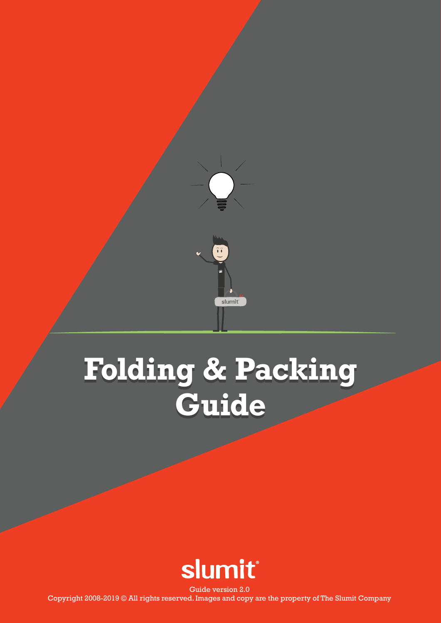

## **Folding & Packing Guide**



Guide version 2.0 Copyright 2008-2019 © All rights reserved. Images and copy are the property of The Slumit Company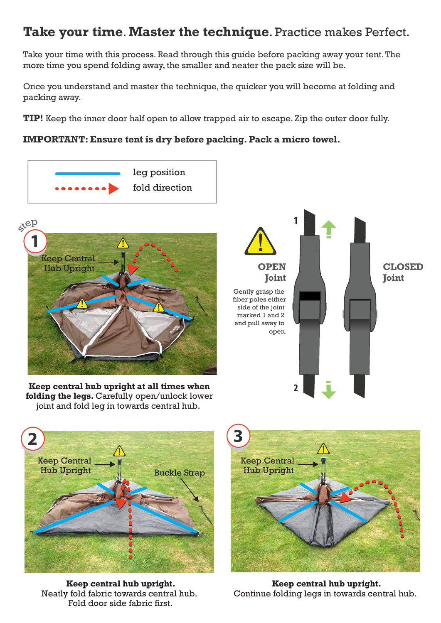## **Take your time**. **Master the technique**. Practice makes Perfect.

Take your time with this process. Read through this guide before packing away your tent. The more time you spend folding away, the smaller and neater the pack size will be.

Once you understand and master the technique, the quicker you will become at folding and packing away.

**TIP!** Keep the inner door half open to allow trapped air to escape. Zip the outer door fully.

## **IMPORTANT: Ensure tent is dry before packing. Pack a micro towel.**





**Keep central hub upright at all times when folding the legs.** Carefully open/unlock lower joint and fold leg in towards central hub.





**Keep central hub upright.** Neatly fold fabric towards central hub. Fold door side fabric first.



**Keep central hub upright.** Continue folding legs in towards central hub.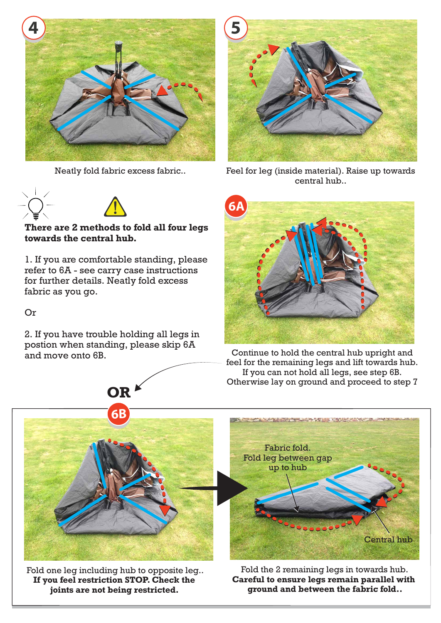

Neatly fold fabric excess fabric..

**There are 2 methods to fold all four legs** 



Feel for leg (inside material). Raise up towards central hub..



Continue to hold the central hub upright and feel for the remaining legs and lift towards hub. If you can not hold all legs, see step 6B. Otherwise lay on ground and proceed to step 7



Fold one leg including hub to opposite leg.. **If you feel restriction STOP. Check the joints are not being restricted.** 

Fold the 2 remaining legs in towards hub. **Careful to ensure legs remain parallel with ground and between the fabric fold..**

Or

fabric as you go.

2. If you have trouble holding all legs in postion when standing, please skip 6A and move onto 6B.



for further details. Neatly fold excess